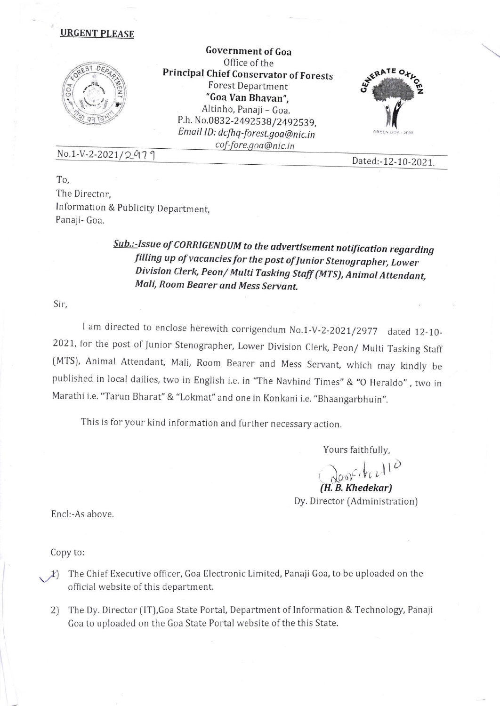#### URGENT PLEASE



Government of Goa 0ffice of the Principal Chief Conservator of Forests Forest Department "Goa Van Bhavan", Altinho, Panaji - Goa. P.h. No.0832-2492538/2492539, Email ID: dcfhq-forest.goa@nic.in cof-fore.goa@nic.in



# No.1-V-2-2021/2979 Dated:-12-10-2021.

To, The Director, Information & Publicity Department, Panaji- Goa.

## Sub.:-Issue of CORRIGENDUM to the advertisement notification regarding filling up ofvacancies for the post ofJunior Stenographer, Lower Division Clerk, peon/ Multi Tasking Staff (MTS), Animat Attendant, Mali, Room Bearer and Mess Servant.

Sir,

I am directed to enclose herewith corrigendum No.1-V-2-2021/2977 dated 12-10-2021, for the post of Junior Stenographer, Lower Division Clerk, Peon/ Multi Tasking Staff (MTS), Animal Attendant, Mali, Room Bearer and Mess Servant, which may kindly be published in local dailies, two in English i.e. in "The Navhind Times" & "O Heraldo", two in Marathi i.e. "Tarun Bharat" & "Lokmat" and one in Konkani i.e. "Bhaangarbhuin".

This is for your kind information and further necessary action

Yours faithfully,

 $\sum_{i=1}^n$  $\partial$ 00rc/  $V_l$ (H. B. Khedekar) Dy. Director (Administration)

Encl:-As above.

Copy to:

- The Chief Executive officer, Goa Electronic Limited, Panaji Goa, to be uploaded on the  $f$  of the denominant official website of this department.
	- 2) The Dy. Director (lT),Goa State Portal, Department of Information & Technology, Panaji Goa to uploaded on the Goa State Portal website of the this State.